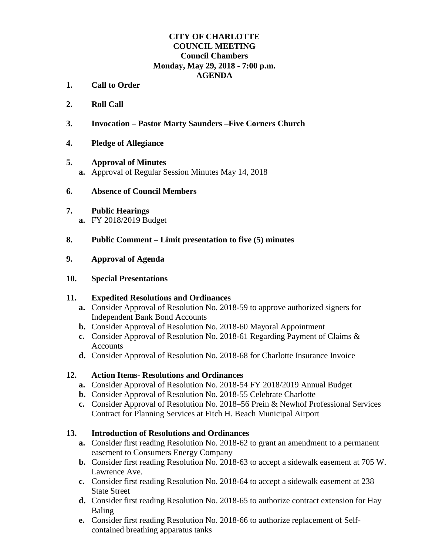### **CITY OF CHARLOTTE COUNCIL MEETING Council Chambers Monday, May 29, 2018 - 7:00 p.m. AGENDA**

- **1. Call to Order**
- **2. Roll Call**
- **3. Invocation – Pastor Marty Saunders –Five Corners Church**
- **4. Pledge of Allegiance**

#### **5. Approval of Minutes**

**a.** Approval of Regular Session Minutes May 14, 2018

#### **6. Absence of Council Members**

# **7. Public Hearings**

**a.** FY 2018/2019 Budget

### **8. Public Comment – Limit presentation to five (5) minutes**

#### **9. Approval of Agenda**

#### **10. Special Presentations**

### **11. Expedited Resolutions and Ordinances**

- **a.** Consider Approval of Resolution No. 2018-59 to approve authorized signers for Independent Bank Bond Accounts
- **b.** Consider Approval of Resolution No. 2018-60 Mayoral Appointment
- **c.** Consider Approval of Resolution No. 2018-61 Regarding Payment of Claims & Accounts
- **d.** Consider Approval of Resolution No. 2018-68 for Charlotte Insurance Invoice

### **12. Action Items- Resolutions and Ordinances**

- **a.** Consider Approval of Resolution No. 2018-54 FY 2018/2019 Annual Budget
- **b.** Consider Approval of Resolution No. 2018-55 Celebrate Charlotte
- **c.** Consider Approval of Resolution No. 2018–56 Prein & Newhof Professional Services Contract for Planning Services at Fitch H. Beach Municipal Airport

### **13. Introduction of Resolutions and Ordinances**

- **a.** Consider first reading Resolution No. 2018-62 to grant an amendment to a permanent easement to Consumers Energy Company
- **b.** Consider first reading Resolution No. 2018-63 to accept a sidewalk easement at 705 W. Lawrence Ave.
- **c.** Consider first reading Resolution No. 2018-64 to accept a sidewalk easement at 238 State Street
- **d.** Consider first reading Resolution No. 2018-65 to authorize contract extension for Hay Baling
- **e.** Consider first reading Resolution No. 2018-66 to authorize replacement of Selfcontained breathing apparatus tanks